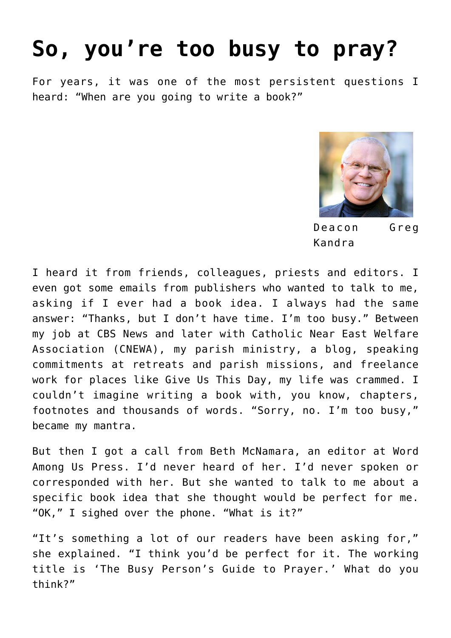# **[So, you're too busy to pray?](https://www.osvnews.com/2019/06/06/so-youre-too-busy-to-pray/)**

For years, it was one of the most persistent questions I heard: "When are you going to write a book?"



Deacon Greg Kandra

I heard it from friends, colleagues, priests and editors. I even got some emails from publishers who wanted to talk to me, asking if I ever had a book idea. I always had the same answer: "Thanks, but I don't have time. I'm too busy." Between my job at CBS News and later with Catholic Near East Welfare Association (CNEWA), my parish ministry, a blog, speaking commitments at retreats and parish missions, and freelance work for places like Give Us This Day, my life was crammed. I couldn't imagine writing a book with, you know, chapters, footnotes and thousands of words. "Sorry, no. I'm too busy," became my mantra.

But then I got a call from Beth McNamara, an editor at Word Among Us Press. I'd never heard of her. I'd never spoken or corresponded with her. But she wanted to talk to me about a specific book idea that she thought would be perfect for me. "OK," I sighed over the phone. "What is it?"

"It's something a lot of our readers have been asking for," she explained. "I think you'd be perfect for it. The working title is 'The Busy Person's Guide to Prayer.' What do you think?"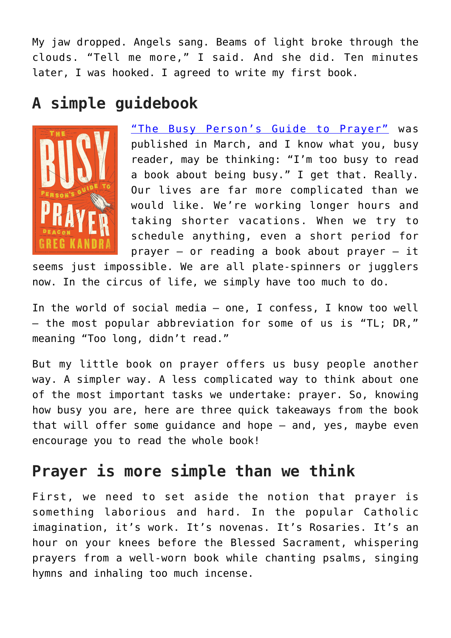My jaw dropped. Angels sang. Beams of light broke through the clouds. "Tell me more," I said. And she did. Ten minutes later, I was hooked. I agreed to write my first book.

## **A simple guidebook**



["The Busy Person's Guide to Prayer"](https://amzn.to/2MH7Aky) was published in March, and I know what you, busy reader, may be thinking: "I'm too busy to read a book about being busy." I get that. Really. Our lives are far more complicated than we would like. We're working longer hours and taking shorter vacations. When we try to schedule anything, even a short period for prayer — or reading a book about prayer — it

seems just impossible. We are all plate-spinners or jugglers now. In the circus of life, we simply have too much to do.

In the world of social media — one, I confess, I know too well — the most popular abbreviation for some of us is "TL; DR," meaning "Too long, didn't read."

But my little book on prayer offers us busy people another way. A simpler way. A less complicated way to think about one of the most important tasks we undertake: prayer. So, knowing how busy you are, here are three quick takeaways from the book that will offer some guidance and hope — and, yes, maybe even encourage you to read the whole book!

### **Prayer is more simple than we think**

First, we need to set aside the notion that prayer is something laborious and hard. In the popular Catholic imagination, it's work. It's novenas. It's Rosaries. It's an hour on your knees before the Blessed Sacrament, whispering prayers from a well-worn book while chanting psalms, singing hymns and inhaling too much incense.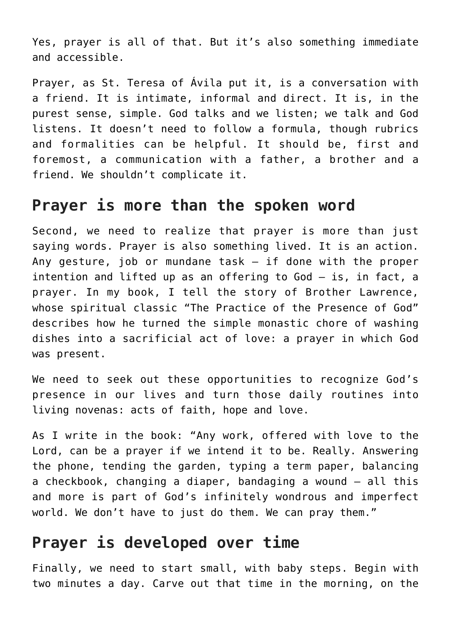Yes, prayer is all of that. But it's also something immediate and accessible.

Prayer, as St. Teresa of Ávila put it, is a conversation with a friend. It is intimate, informal and direct. It is, in the purest sense, simple. God talks and we listen; we talk and God listens. It doesn't need to follow a formula, though rubrics and formalities can be helpful. It should be, first and foremost, a communication with a father, a brother and a friend. We shouldn't complicate it.

#### **Prayer is more than the spoken word**

Second, we need to realize that prayer is more than just saying words. Prayer is also something lived. It is an action. Any gesture, job or mundane task — if done with the proper intention and lifted up as an offering to God — is, in fact, a prayer. In my book, I tell the story of Brother Lawrence, whose spiritual classic "The Practice of the Presence of God" describes how he turned the simple monastic chore of washing dishes into a sacrificial act of love: a prayer in which God was present.

We need to seek out these opportunities to recognize God's presence in our lives and turn those daily routines into living novenas: acts of faith, hope and love.

As I write in the book: "Any work, offered with love to the Lord, can be a prayer if we intend it to be. Really. Answering the phone, tending the garden, typing a term paper, balancing a checkbook, changing a diaper, bandaging a wound — all this and more is part of God's infinitely wondrous and imperfect world. We don't have to just do them. We can pray them."

### **Prayer is developed over time**

Finally, we need to start small, with baby steps. Begin with two minutes a day. Carve out that time in the morning, on the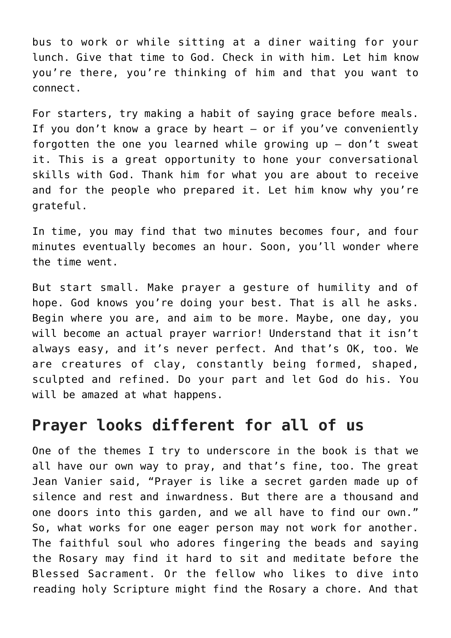bus to work or while sitting at a diner waiting for your lunch. Give that time to God. Check in with him. Let him know you're there, you're thinking of him and that you want to connect.

For starters, try making a habit of saying grace before meals. If you don't know a grace by heart — or if you've conveniently forgotten the one you learned while growing up — don't sweat it. This is a great opportunity to hone your conversational skills with God. Thank him for what you are about to receive and for the people who prepared it. Let him know why you're grateful.

In time, you may find that two minutes becomes four, and four minutes eventually becomes an hour. Soon, you'll wonder where the time went.

But start small. Make prayer a gesture of humility and of hope. God knows you're doing your best. That is all he asks. Begin where you are, and aim to be more. Maybe, one day, you will become an actual prayer warrior! Understand that it isn't always easy, and it's never perfect. And that's OK, too. We are creatures of clay, constantly being formed, shaped, sculpted and refined. Do your part and let God do his. You will be amazed at what happens.

#### **Prayer looks different for all of us**

One of the themes I try to underscore in the book is that we all have our own way to pray, and that's fine, too. The great Jean Vanier said, "Prayer is like a secret garden made up of silence and rest and inwardness. But there are a thousand and one doors into this garden, and we all have to find our own." So, what works for one eager person may not work for another. The faithful soul who adores fingering the beads and saying the Rosary may find it hard to sit and meditate before the Blessed Sacrament. Or the fellow who likes to dive into reading holy Scripture might find the Rosary a chore. And that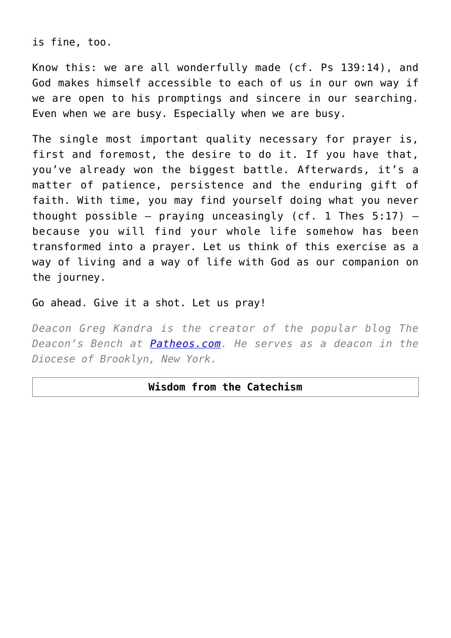is fine, too.

Know this: we are all wonderfully made (cf. Ps 139:14), and God makes himself accessible to each of us in our own way if we are open to his promptings and sincere in our searching. Even when we are busy. Especially when we are busy.

The single most important quality necessary for prayer is, first and foremost, the desire to do it. If you have that, you've already won the biggest battle. Afterwards, it's a matter of patience, persistence and the enduring gift of faith. With time, you may find yourself doing what you never thought possible  $-$  praying unceasingly (cf. 1 Thes  $5:17$ )  $$ because you will find your whole life somehow has been transformed into a prayer. Let us think of this exercise as a way of living and a way of life with God as our companion on the journey.

Go ahead. Give it a shot. Let us pray!

*Deacon Greg Kandra is the creator of the popular blog The Deacon's Bench at [Patheos.com.](http://www.Patheos.com) He serves as a deacon in the Diocese of Brooklyn, New York.*

#### **Wisdom from the Catechism**